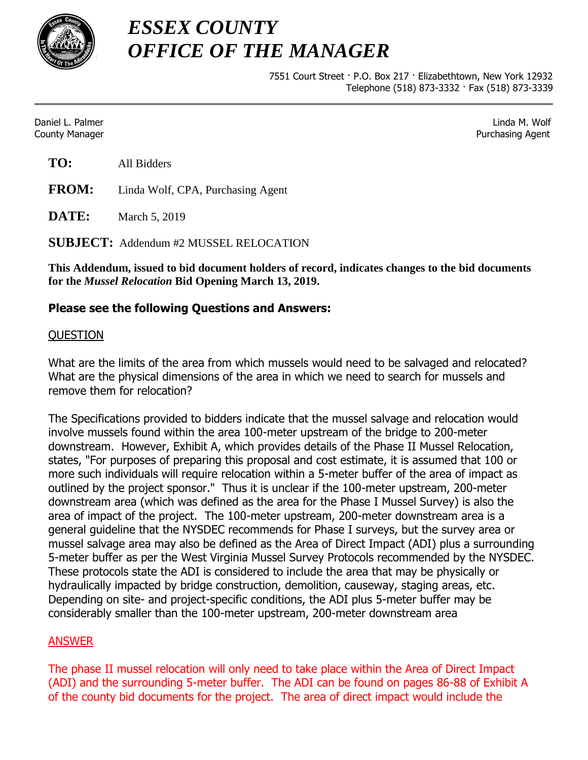

*ESSEX COUNTY OFFICE OF THE MANAGER*

> 7551 Court Street · P.O. Box 217 · Elizabethtown, New York 12932 Telephone (518) 873-3332 · Fax (518) 873-3339

Daniel L. Palmer Linda M. Wolf County Manager Purchasing Agent

**FROM:** Linda Wolf, CPA, Purchasing Agent

**DATE:** March 5, 2019

**SUBJECT:** Addendum #2 MUSSEL RELOCATION

**This Addendum, issued to bid document holders of record, indicates changes to the bid documents for the** *Mussel Relocation* **Bid Opening March 13, 2019.**

# **Please see the following Questions and Answers:**

### **OUESTION**

What are the limits of the area from which mussels would need to be salvaged and relocated? What are the physical dimensions of the area in which we need to search for mussels and remove them for relocation?

The Specifications provided to bidders indicate that the mussel salvage and relocation would involve mussels found within the area 100-meter upstream of the bridge to 200-meter downstream. However, Exhibit A, which provides details of the Phase II Mussel Relocation, states, "For purposes of preparing this proposal and cost estimate, it is assumed that 100 or more such individuals will require relocation within a 5-meter buffer of the area of impact as outlined by the project sponsor." Thus it is unclear if the 100-meter upstream, 200-meter downstream area (which was defined as the area for the Phase I Mussel Survey) is also the area of impact of the project. The 100-meter upstream, 200-meter downstream area is a general guideline that the NYSDEC recommends for Phase I surveys, but the survey area or mussel salvage area may also be defined as the Area of Direct Impact (ADI) plus a surrounding 5-meter buffer as per the West Virginia Mussel Survey Protocols recommended by the NYSDEC. These protocols state the ADI is considered to include the area that may be physically or hydraulically impacted by bridge construction, demolition, causeway, staging areas, etc. Depending on site- and project-specific conditions, the ADI plus 5-meter buffer may be considerably smaller than the 100-meter upstream, 200-meter downstream area

# **ANSWER**

The phase II mussel relocation will only need to take place within the Area of Direct Impact (ADI) and the surrounding 5-meter buffer. The ADI can be found on pages 86-88 of Exhibit A of the county bid documents for the project. The area of direct impact would include the